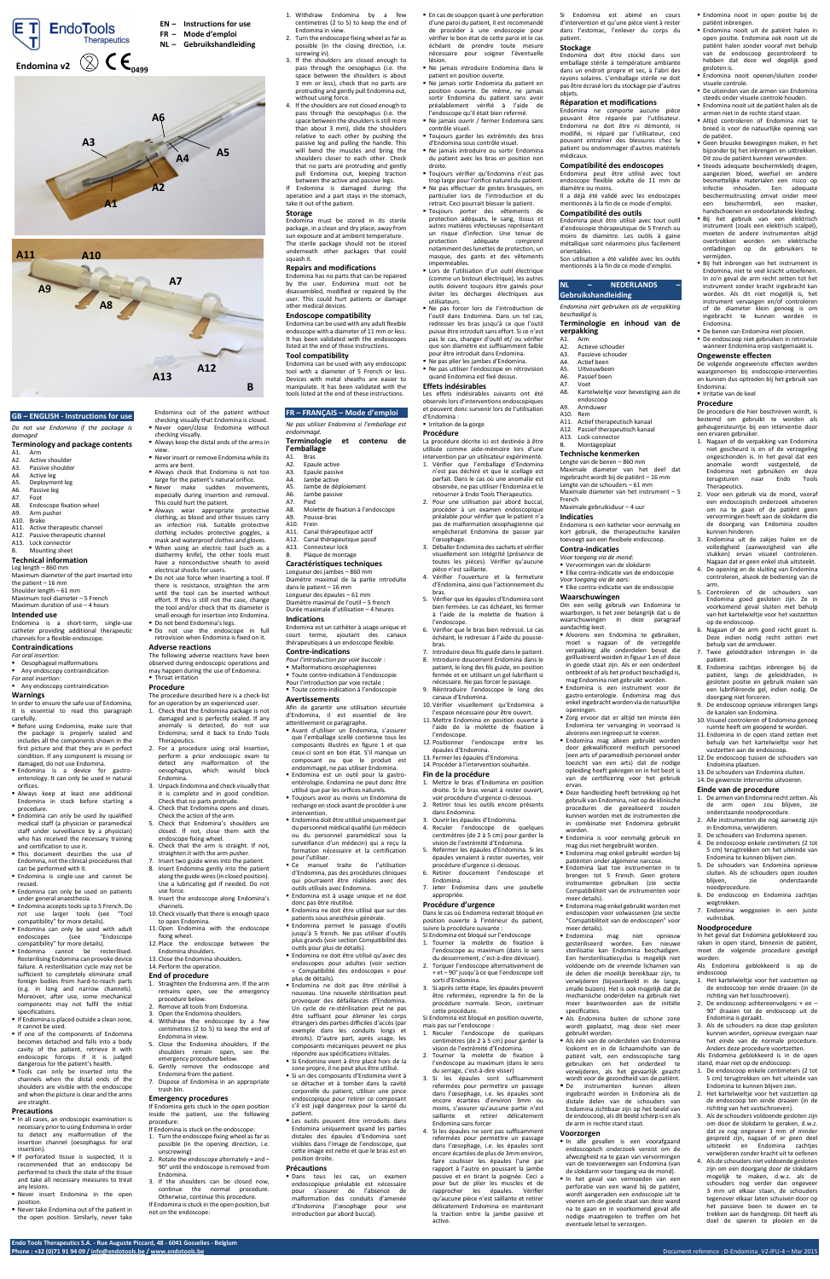**Endo Tools Therapeutics S.A. - Rue Auguste Piccard, 48 - 6041 Gosselies - Belgium**

**Phone : +32 (0)71 91 94 09 [/ info@endotools.be](mailto:info@endotools.be) [/ www.endotools.be](http://www.endotools.be/)** Document reference : D-Endomina\_V2-IFU-4 – Mar 2015

## **GB – ENGLISH - Instructions for use**

*Do not use Endomina if the package is damaged*

# **Terminology and package contents**

- A1. Arm<br>A2. Activ
- A2. Active shoulder<br>A3. Passive shoulde
- A3. Passive shoulder<br>A4. Active leg
- A4. Active leg<br>A5. Deployme A5. Deployment leg<br>A6. Passive leg
- A6. Passive leg<br>A7. Foot
- A7. Foot<br>A8. Endo Endoscope fixation wheel
- A9. Arm pusher<br>A10. Brake
- **Brake**
- A11. Active therapeutic channel A12. Passive therapeutic channel
- A13. Lock connector
- Mounting sheet

# **Technical information**

Leg length – 860 mm

Maximum diameter of the part inserted into the patient – 16 mm Shoulder length – 61 mm Maximum tool diameter – 5 French

Maximum duration of use – 4 hours **Intended use**

Endomina is a short-term, single-use catheter providing additional therapeutic channels for a flexible endoscope.

## **Contraindications**

- *For oral insertion:*
- Oesophageal malformations Any endoscopy contraindication
- *For anal insertion:* **Any endoscopy contraindication**
- **Warnings**
- In order to ensure the safe use of Endomina,
- it is essential to read this paragraph carefully. **Before using Endomina, make sure that**
- the package is properly sealed and includes all the components shown in the first picture and that they are in perfect

- In all cases, an endoscopic examination is necessary prior to using Endomina in order to detect any malformation of the insertion channel (oesophagus for oral insertion).
- **If perforated tissue is suspected, it is** recommended that an endoscopy be performed to check the state of the tissue and take all necessary measures to treat any lesions.
- Never insert Endomina in the open position.
- Never take Endomina out of the patient in the open position. Similarly, never take
- condition. If any component is missing or damaged, do not use Endomina.
- Endomina is a device for gastroenterology. It can only be used in natural orifices.
- Always keep at least one additional Endomina in stock before starting a procedure.
- **Endomina can only be used by qualified** medical staff (a physician or paramedical staff under surveillance by a physician) who has received the necessary training and certification to use it.
- This document describes the use of Endomina, not the clinical procedures that can be performed with it.
- Endomina is single-use and cannot be reused.
- **Endomina can only be used on patients** under general anaesthesia.
- **Endomina accepts tools up to 5 French. Do** not use larger tools (see "Tool compatibility" for more details).
- Endomina can only be used with adult<br>endoscopes (see "Endoscope (see "Endoscope compatibility" for more details).
- Endomina cannot be resterilised. Resterilising Endomina can provoke device failure. A resterilisation cycle may not be sufficient to completely eliminate small foreign bodies from hard-to-reach parts (e.g. in long and narrow channels). Moreover, after use, some mechanical components may not fulfil the initial specifications.
- **If Endomina is placed outside a clean zone,** it cannot be used.
- If one of the components of Endomina becomes detached and falls into a body cavity of the patient, retrieve it with endoscopic forceps if it is judged dangerous for the patient's health.
- Tools can only be inserted into the channels when the distal ends of the shoulders are visible with the endoscope and when the picture is clear and the arms are straight.

The following adverse reactions have been observed during endoscopic operations and may happen during the use of Endomina: **Throat irritation** 

#### **Precautions**

- Endomina out of the patient without checking visually that Endomina is closed. Never open/close Endomina without
- checking visually. Always keep the distal ends of the arms in
- view. Never insert or remove Endomina while its
- arms are bent.
- Always check that Endomina is not too
- large for the patient's natural orifice. **Never** make sudden movements, especially during insertion and removal.
- This could hurt the patient. Always wear appropriate protective
- clothing, as blood and other tissues carry an infection risk. Suitable protective clothing includes protective goggles, a
- mask and waterproof clothes and gloves. When using an electric tool (such as a diathermy knife), the other tools must have a nonconductive sheath to avoid
- electrical shocks for users. Do not use force when inserting a tool. If there is resistance, straighten the arm until the tool can be inserted without effort. If this is still not the case, change the tool and/or check that its diameter is small enough for insertion into Endomina.
- Do not bend Endomina's legs. Do not use the endoscope in full retrovision when Endomina is fixed on it.

# **Adverse reactions**

# **Procedure**

- 
- The procedure described here is a check-list for an operation by an experienced user. 1. Check that the Endomina package is not
- damaged and is perfectly sealed. If any anomaly is detected, do not use Endomina; send it back to Endo Tools
- Therapeutics. 2. For a procedure using oral insertion,
- perform a prior endoscopic exam to detect any malformation of the oesophagus, which would block Endomina.
- 3. Unpack Endomina and check visually that it is complete and in good condition.
- Check that no parts protrude. 4. Check that Endomina opens and closes. Check the action of the arm.
- 5. Check that Endomina's shoulders are closed. If not, close them with the endoscope fixing wheel.
- 6. Check that the arm is straight. If not, straighten it with the arm pusher.
- 7. Insert two guide wires into the patient. 8. Insert Endomina gently into the patient along the guide wires (in closed position). Use a lubricating gel if needed. Do not use force.
- 9. Insert the endoscope along Endomina's channels.
- 10. Check visually that there is enough space to open Endomina.
- 11.Open Endomina with the endoscope fixing wheel.
- 12. Place the endoscope between the Endomina shoulders.
- 13. Close the Endomina shoulders.

# 14. Perform the operation.

# **End of procedure**

Dans tous les cas, un examen endoscopique préalable est nécessaire pour s'assurer de l'absence de malformation des conduits d'amenée d'Endomina (l'œsophage pour une introduction par abord buccal).

- 1. Straighten the Endomina arm. If the arm remains open, see the emergency procedure below.
- Remove all tools from Endomina.
- 3. Open the Endomina shoulders.
- 4. Withdraw the endoscope by a few centimetres (2 to 5) to keep the end of Endomina in view.
- 5. Close the Endomina shoulders. If the shoulders remain open, see the emergency procedure below.
- 6. Gently remove the endoscope and Endomina from the patient.
- 7. Dispose of Endomina in an appropriate trash bin.

## **Emergency procedures**

If Endomina gets stuck in the open position inside the patient, use the following procedure:

If Endomina is stuck on the endoscope:

- 1. Turn the endoscope fixing wheel as far as possible (in the opening direction, i.e. unscrewing)
- 2. Rotate the endoscope alternately + and 90° until the endoscope is removed from Endomina.
- 3. If the shoulders can be closed now, continue the normal procedure. Otherwise, continue this procedure. If Endomina is stuck in the open position, but not on the endoscope:
- 1. Withdraw Endomina by a few centimetres (2 to 5) to keep the end of Endomina in view.
- 2. Turn the endoscope fixing wheel as far as possible (in the closing direction, i.e. screwing in).
- 3. If the shoulders are closed enough to pass through the oesophagus (i.e. the space between the shoulders is about 3 mm or less), check that no parts are protruding and gently pull Endomina out, without using force.
- 4. If the shoulders are not closed enough to pass through the oesophagus (i.e. the space between the shoulders is still more than about 3 mm), slide the shoulders relative to each other by pushing the passive leg and pulling the handle. This will bend the muscles and bring the shoulders closer to each other. Check that no parts are protruding and gently pull Endomina out, keeping traction
- between the active and passive legs. If Endomina is damaged during the operation and a part stays in the stomach,

take it out of the patient. **Storage**

### Endomina must be stored in its sterile package, in a clean and dry place, away from sun exposure and at ambient temperature. The sterile package should not be stored underneath other packages that could squash it.

## **Repairs and modifications**

Endomina has no parts that can be repaired by the user. Endomina must not be disassembled, modified or repaired by the user. This could hurt patients or damage other medical devices.

## **Endoscope compatibility**

Endomina can be used with any adult flexible endoscope with a diameter of 11 mm or less. It has been validated with the endoscopes listed at the end of these instructions.

# **Tool compatibility**

Endomina can be used with any endoscopic tool with a diameter of 5 French or less. Devices with metal sheaths are easier to manipulate. It has been validated with the tools listed at the end of these instructions.

## **FR – FRANÇAIS – Mode d'emploi**

*Ne pas utiliser Endomina si l'emballage est endommagé.*

## **Terminologie et contenu de l'emballage**

- A1. Bras
- A2. Epaule active A3. Epaule passive
- 
- A4. Jambe active<br>A5. Jambe de dér Jambe de déploiement
- 
- A6. Jambe passive<br>A7. Pied Pied.
- A8. Molette de fixation à l'endoscope
- A9. Pousse-bras
- A10. Frein
- A11. Canal thérapeutique actif
- A12. Canal thérapeutique passif A13. Connecteur lock
- B. Plaque de montage

# **Caractéristiques techniques**

Longueur des jambes – 860 mm

Diamètre maximal de la partie introduite dans le patient – 16 mm Longueur des épaules – 61 mm Diamètre maximal de l'outil – 5 french

Durée maximale d'utilisation – 4 heures **Indications**

Endomina est un cathéter à usage unique et court terme, ajoutant des canaux thérapeutiques à un endoscope flexible.

## **Contre-indications**

**verpakking** A1. Arm<br>A2. Actie

- *Pour l'introduction par voie buccale :*
- Malformations œsophagiennes Toute contre-indication à l'endoscopie
- Pour l'introduction par voie rectale : Toute contre-indication à l'endoscopie

# **Avertissements**

- Afin de garantir une utilisation sécurisée d'Endomina, il est essentiel de lire
- attentivement ce paragraphe. Avant d'utiliser un Endomina, s'assurer
	- que l'emballage scellé contienne tous les composants illustrés en figure 1 et que
- ceux-ci sont en bon état. S'il manque un composant ou que le produit est endommagé, ne pas utiliser Endomina.
- Endomina est un outil pour la gastroentérologie. Endomina ne peut donc être utilisé que par les orifices naturels.
- Toujours avoir au moins un Endomina de rechange en stock avant de procéder à une intervention.
- Endomina doit être utilisé uniquement par du personnel médical qualifié (un médecin ou du personnel paramédical sous la surveillance d'un médecin) qui a reçu la formation nécessaire et la certification pour l'utiliser.
- Ce manuel traite de l'utilisation d'Endomina, pas des procédures cliniques qui pourraient être réalisées avec des outils utilisés avec Endomina.
- Endomina est à usage unique et ne doit donc pas être réutilisé.
- Endomina ne doit être utilisé que sur des patients sous anesthésie générale.
- Endomina permet le passage d'outils jusqu'à 5 french. Ne pas utiliser d'outils plus grands (voir sectio[n Compatibilité des](#page-0-0)  [outils](#page-0-0) pour plus de détails).
- Endomina ne doit être utilisé qu'avec des endoscopes pour adultes (voir section « [Compatibilité des endoscopes](#page-0-1) » pour plus de détails).
- Endomina ne doit pas être stérilisé à nouveau. Une nouvelle stérilisation peut provoquer des défaillances d'Endomina. Un cycle de re-stérilisation peut ne pas être suffisant pour éliminer les corps étrangers des parties difficiles d'accès (par exemple dans les conduits longs et étroits). D'autre part, après usage, les composants mécaniques peuvent ne plus répondre aux spécifications initiales.
- Si Endomina vient à être placé hors de la zone propre, il ne peut plus être utilisé.
- Si un des composants d'Endomina vient à se détacher et à tomber dans la cavité corporelle du patient, utiliser une pince endoscopique pour retirer ce composant s'il est jugé dangereux pour la santé du patient.
- Les outils peuvent être introduits dans Endomina uniquement quand les parties distales des épaules d'Endomina sont visibles dans l'image de l'endoscope, que cette image est nette et que le bras est en position droite.

## **Précautions**

De benen van Endomina niet plooien. De endoscoop niet gebruiken in retrovisie wanneer Endomina erop vastgemaakt is.

 En cas de soupçon quant à une perforation d'une paroi du patient, il est recommandé de procéder à une endoscopie pour vérifier le bon état de cette paroi et le cas échéant de prendre toute mesure nécessaire pour soigner l'éventuelle lésion.

- Ne jamais introduire Endomina dans le patient en position ouverte.
- Ne jamais sortir Endomina du patient en position ouverte. De même, ne jamais sortir Endomina du patient sans avoir préalablement vérifié à l'aide de l'endoscope qu'il était bien refermé.
- Ne jamais ouvrir / fermer Endomina sans contrôle visuel. Toujours garder les extrémités des bras
	- d'Endomina sous contrôle visuel. Ne jamais introduire ou sortir Endomina
	- du patient avec les bras en position non droite. Toujours vérifier qu'Endomina n'est pas

trop large pour l'orifice naturel du patient. Ne pas effectuer de gestes brusques, en particulier lors de l'introduction et du retrait. Ceci pourrait blesser le patient. Toujours porter des vêtements de protection adéquats, le sang, tissus et autres matières infectieuses représentant un risque d'infection. Une tenue de protection adéquate comprend notamment des lunettes de protection, un masque, des gants et des vêtements

imperméables.

 Lors de l'utilisation d'un outil électrique (comme un bistouri électrique), les autres outils doivent toujours être gainés pour éviter les décharges électriques aux

utilisateurs.

1. Het kartelwieltie voor het vastzetten on de endoscoop ten einde draaien (in de richting van het losschroeven). 2. De endoscoop achtereenvolgens + en – 90° draaien tot de endoscoop uit de

 Ne pas forcer lors de l'introduction de l'outil dans Endomina. Dans un tel cas, redresser les bras jusqu'à ce que l'outil puisse être introduit sans effort. Si ce n'est pas le cas, changer d'outil et/ ou vérifier que son diamètre est suffisamment faible pour être introduit dans Endomina. Ne pas plier les jambes d'Endomina. Ne pas utiliser l'endoscope en rétrovision quand Endomina est fixé dessus.

**Effets indésirables**

Les effets indésirables suivants ont été observés lors d'interventions endoscopiques et peuvent donc survenir lors de l'utilisation

d'Endomina : **Irritation de la gorge Procédure**

La procédure décrite ici est destinée à être utilisée comme aide-mémoire lors d'une intervention par un utilisateur expérimenté. 1. Vérifier que l'emballage d'Endomina n'est pas déchiré et que le scellage est parfait. Dans le cas où une anomalie est observée, ne pas utiliser l'Endomina et le retourner à Endo Tools Therapeutics. 2. Pour une utilisation par abord buccal, procéder à un examen endoscopique préalable pour vérifier que le patient n'a pas de malformation œsophagienne qui empêcherait Endomina de passer par

l'œsophage.

3. Déballer Endomina des sachets et vérifier visuellement son intégrité (présence de toutes les pièces). Vérifier qu'aucune

pièce n'est saillante.

4. Vérifier l'ouverture et la fermeture d'Endomina, ainsi que l'actionnement du

bras.

5. Vérifier que les épaules d'Endomina sont bien fermées. Le cas échéant, les fermer à l'aide de la molette de fixation à

l'endoscope.

6. Vérifier que le bras bien redressé. Le cas échéant, le redresser à l'aide du pousse-

bras.

7. Introduire deux fils guide dans le patient. 8. Introduire doucement Endomina dans le patient, le long des fils guide, en position fermée et en utilisant un gel lubrifiant si nécessaire. Ne pas forcer le passage. 9. Réintroduire l'endoscope le long des

canaux d'Endomina.

10. Vérifier visuellement qu'Endomina a l'espace nécessaire pour être ouvert. 11. Mettre Endomina en position ouverte à l'aide de la molette de fixation à

l'endoscope.

12. Positionner l'endoscope entre les

épaules d'Endomina.

13. Fermer les épaules d'Endomina. 14. Procéder à l'intervention souhaitée.

#### **Fin de la procédure**

- 1. Mettre le bras d'Endomina en position droite. Si le bras venait à rester ouvert, voir procédure d'urgence ci-dessous. 2. Retirer tous les outils encore présents
- dans Endomina. 3. Ouvrir les épaules d'Endomina.
- 4. Reculer l'endoscope de quelques
- centimètres (de 2 à 5 cm) pour garder la vision de l'extrémité d'Endomina. 5. Refermer les épaules d'Endomina. Si les
- épaules venaient à rester ouvertes, voir procédure d'urgence ci-dessous.
- 6. Retirer doucement l'endoscope et Endomina.
- 7. Jeter Endomina dans une poubelle appropriée.

## **Procédure d'urgence**

Dans le cas où Endomina resterait bloqué en position ouverte à l'intérieur du patient,

suivre la procédure suivante : Si Endomina est bloqué sur l'endoscope

- 1. Tourner la molette de fixation à l'endoscope au maximum (dans le sens du desserrement, c'est-à-dire dévisser).
- 2. Torquer l'endoscope alternativement de + et – 90° jusqu'à ce que l'endoscope soit sorti d'Endomina.
- 3. Si après cette étape, les épaules peuvent être refermées, reprendre la fin de la procédure normale. Sinon, continuer cette procédure.

Si Endomina est bloqué en position ouverte, mais pas sur l'endoscope :

- 1. Reculer l'endoscope de quelques centimètres (de 2 à 5 cm) pour garder la vision de l'extrémité d'Endomina.
- 2. Tourner la molette de fixation à l'endoscope au maximum (dans le sens du serrage, c'est-à-dire visser)
- 3. Si les épaules sont suffisamment refermées pour permettre un passage dans l'œsophage, i.e. les épaules sont encore écartées d'environ 3mm ou moins, s'assurer qu'aucune partie n'est saillante et retirer délicatement Endomina sans forcer
- 4. Si les épaules ne sont pas suffisamment refermées pour permettre un passage dans l'œsophage, i.e. les épaules sont encore écartées de plus de 3mm environ, faire coulisser les épaules l'une par rapport à l'autre en poussant la jambe passive et en tirant la poignée. Ceci a pour but de plier les muscles et de rapprocher les épaules. Vérifier qu'aucune pièce n'est saillante et retirer délicatement Endomina en maintenant la traction entre la jambe passive et active.

Si Endomina est abimé en cours d'intervention et qu'une pièce vient à rester dans l'estomac, l'enlever du corps du

patient. **Stockage**

Endomina doit être stocké dans son emballage stérile à température ambiante dans un endroit propre et sec, à l'abri des rayons solaires. L'emballage stérile ne doit pas être écrasé lors du stockage par d'autres

objets.

**Réparation et modifications** Endomina ne comporte aucune pièce pouvant être réparée par l'utilisateur. Endomina ne doit être ni démonté, ni modifié, ni réparé par l'utilisateur, ceci pouvant entraîner des blessures chez le patient ou endommager d'autres matériels

médicaux.

<span id="page-0-1"></span>**Compatibilité des endoscopes** Endomina peut être utilisé avec tout endoscope flexible adulte de 11 mm de

diamètre ou moins.

Il a déjà été validé avec les endoscopes mentionnés à la fin de ce mode d'emploi. **Compatibilité des outils**

<span id="page-0-0"></span>Endomina peut être utilisé avec tout outil d'endoscopie thérapeutique de 5 French ou moins de diamètre. Les outils à gaine métallique sont néanmoins plus facilement

orientables.

Son utilisation a été validée avec les outils mentionnés à la fin de ce mode d'emploi.

**NL – NEDERLANDS –**

**Gebruikshandleiding**

A2. Actieve schouder<br>A3. Passieve schoude Passieve schouder

*Endomina niet gebruiken als de verpakking* 

*beschadigd is.*

**Terminologie en inhoud van de** 

A8. Kartelwieltie voor bevestiging aan de

A4. Actief been A5. Uitvouwbeen A6. Passief been<br>A7. Voet A7. Voet

endoscoop A9. Armduwer A10. Rem

A11. Actief therapeutisch kanaal A12. Passief therapeutisch kanaal

A13. Lock-connector B. Montageplaat **Technische kenmerken** Lengte van de benen – 860 mm

Maximale diameter van het deel dat ingebracht wordt bij de patiënt – 16 mm Lengte van de schouders – 61 mm Maximale diameter van het instrument – 5

French

Maximale gebruiksduur – 4 uur

**Indicaties**

Endomina is een katheter voor eenmalig en kort gebruik, die therapeutische kanalen toevoegt aan een flexibele endoscoop.

**Contra-indicaties** *Voor toegang via de mond:* Vervormingen van de slokdarm Elke contra-indicatie van de endoscopie

*Voor toegang via de aars:*

Elke contra-indicatie van de endoscopie

**Waarschuwingen**

Om een veilig gebruik van Endomina te waarborgen, is het zeer belangrijk dat u de waarschuwingen in deze paragraaf

aandachtig leest.

 Alvorens een Endomina te gebruiken, moet u nagaan of de verzegelde verpakking alle onderdelen bevat die geïllustreerd worden in figuur 1 en of deze in goede staat zijn. Als er een onderdeel ontbreekt of als het product beschadigd is, mag Endomina niet gebruikt worden. Endomina is een instrument voor de gastro-enterologie. Endomina mag dus enkel ingebracht worden via de natuurlijke

openingen.

 Zorg ervoor dat er altijd ten minste één Endomina ter vervanging in voorraad is alvorens een ingreep uit te voeren. Endomina mag alleen gebruikt worden

- door gekwalificeerd medisch personeel (een arts of paramedisch personeel onder toezicht van een arts) dat de nodige opleiding heeft gekregen en in het bezit is van de certificering voor het gebruik
- ervan. Deze handleiding heeft betrekking op het gebruik van Endomina, niet op de klinische procedures die gerealiseerd zouden kunnen worden met de instrumenten die in combinatie met Endomina gebruikt worden.
	- Endomina is voor eenmalig gebruik en mag dus niet hergebruikt worden.
	- Endomina mag enkel gebruikt worden bij patiënten onder algemene narcose.
- Endomina laat toe instrumenten in te brengen tot 5 French. Geen grotere instrumenten gebruiken (zie sectie Compatibiliteit van de instrumenten voor meer details).
- Endomina mag enkel gebruikt worden met endoscopen voor volwassenen (zie sectie "Compatibiliteit van de endoscopen" voor meer details).
- Endomina mag niet opnieuw gesteriliseerd worden. Een nieuwe sterilisatie kan Endomina beschadigen. Een hersterilisatiecyclus is mogelijk niet voldoende om de vreemde lichamen van de delen die moeilijk bereikbaar zijn, te verwijderen (bijvoorbeeld in de lange, smalle buizen). Het is ook mogelijk dat de mechanische onderdelen na gebruik niet meer beantwoorden aan de initiële specificaties.
- Als Endomina buiten de schone zone wordt geplaatst, mag deze niet meer gebruikt worden.
- Als één van de onderdelen van Endomina loskomt en in de lichaamsholte van de patiënt valt, een endoscopische tang gebruiken om het onderdeel te verwijderen, als het gevaarlijk geacht wordt voor de gezondheid van de patiënt.
- De instrumenten kunnen alleen ingebracht worden in Endomina als de distale delen van de schouders van Endomina zichtbaar zijn op het beeld van de endoscoop, als dit beeld scherp is en als de arm in rechte stand staat.

#### **Voorzorgen**

- In alle gevallen is een voorafgaand endoscopisch onderzoek vereist om de afwezigheid na te gaan van vervormingen van de toevoerwegen van Endomina (van de slokdarm voor toegang via de mond).
- In het geval van vermoeden van een perforatie van een wand bij de patiënt, wordt aangeraden een endoscopie uit te voeren om de goede staat van deze wand na te gaan en in voorkomend geval alle nodige maatregelen te treffen om het eventuele letsel te verzorgen.

Endomina nooit in open positie bij de

patiënt inbrengen.

 Endomina nooit uit de patiënt halen in open positie. Endomina ook nooit uit de patiënt halen zonder vooraf met behulp van de endoscoop gecontroleerd te hebben dat deze wel degelijk goed

gesloten is.

Endomina nooit openen/sluiten zonder

visuele controle.

 De uiteinden van de armen van Endomina steeds onder visuele controle houden. Endomina nooit uit de patiënt halen als de armen niet in de rechte stand staan. Altijd controleren of Endomina niet te breed is voor de natuurlijke opening van

de patiënt.

 Geen bruuske bewegingen maken, in het bijzonder bij het inbrengen en uittrekken. Dit zou de patiënt kunnen verwonden. Steeds adequate beschermkledij dragen, aangezien bloed, weefsel en andere besmettelijke materialen een risico op infectie inhouden. Een adequate beschermuitrusting omvat onder meer een beschermbril, een masker, handschoenen en ondoorlatende kleding. Bij het gebruik van een elektrisch instrument (zoals een elektrisch scalpel), moeten de andere instrumenten altijd overtrokken worden om elektrische ontladingen op de gebruikers te

vermijden.

 Bij het inbrengen van het instrument in Endomina, niet te veel kracht uitoefenen. In zo'n geval de arm recht zetten tot het instrument zonder kracht ingebracht kan worden. Als dit niet mogelijk is, het instrument vervangen en/of controleren of de diameter klein genoeg is om ingebracht te kunnen worden in

Endomina.

**Ongewenste effecten**

De volgende ongewenste effecten werden waargenomen bij endoscopie-interventies en kunnen dus optreden bij het gebruik van

Endomina:

 Irritatie van de keel **Procedure**

De procedure die hier beschreven wordt, is bestemd om gebruikt te worden als geheugensteuntje bij een interventie door

een ervaren gebruiker.

1. Nagaan of de verpakking van Endomina niet gescheurd is en of de verzegeling ongeschonden is. In het geval dat een anomalie wordt vastgesteld, de Endomina niet gebruiken en deze terugsturen naar Endo Tools

Therapeutics.

2. Voor een gebruik via de mond, vooraf een endoscopisch onderzoek uitvoeren om na te gaan of de patiënt geen vervormingen heeft aan de slokdarm die de doorgang van Endomina zouden

kunnen hinderen.

3. Endomina uit de zakjes halen en de volledigheid (aanwezigheid van alle stukken) ervan visueel controleren. Nagaan dat er geen enkel stuk uitsteekt. 4. De opening en de sluiting van Endomina controleren, alsook de bediening van de

arm.

5. Controleren of de schouders van Endomina goed gesloten zijn. Ze in voorkomend geval sluiten met behulp van het kartelwieltje voor het vastzetten

op de endoscoop.

6. Nagaan of de arm goed recht gezet is. Deze indien nodig recht zetten met

behulp van de armduwer.

7. Twee geleiddraden inbrengen in de

patiënt.

8. Endomina zachtjes inbrengen bij de patiënt, langs de geleiddraden, in gesloten positie en gebruik maken van een lubrifiërende gel, indien nodig. De

doorgang niet forceren.

9. De endoscoop opnieuw inbrengen langs de kanalen van Endomina.

10. Visueel controleren of Endomina genoeg ruimte heeft om geopend te worden. 11. Endomina in de open stand zetten met behulp van het kartelwieltje voor het

- vastzetten aan de endoscoop. 12.De endoscoop tussen de schouders van
- Endomina plaatsen. 13.De schouders van Endomina sluiten.
- 14.De gewenste interventie uitvoeren.

### **Einde van de procedure**

- 1. De armen van Endomina recht zetten. Als de arm open zou blijven, zie onderstaande noodprocedure.
- 2. Alle instrumenten die nog aanwezig zijn in Endomina, verwijderen.
- 3. De schouders van Endomina openen.
- 4. De endoscoop enkele centimeters (2 tot 5 cm) terugtrekken om het uiteinde van Endomina te kunnen blijven zien. 5. De schouders van Endomina opnieuw

sluiten. Als de schouders open zouden blijven, zie onderstaande

noodprocedure.

6. De endoscoop en Endomina zachtjes

wegtrekken.

7. Endomina weggooien in een juiste

vuilnisbak. **Noodprocedure**

In het geval dat Endomina geblokkeerd zou raken in open stand, binnenin de patiënt. moet de volgende procedure gevolgd

worden:

Als Endomina geblokkeerd is op de

endoscoop

Endomina is geraakt.

3. Als de schouders na deze stap gesloten kunnen worden, opnieuw overgaan naar het einde van de normale procedure. Anders deze procedure voortzetten. Als Endomina geblokkeerd is in de open stand, maar niet op de endoscoop: 1. De endoscoop enkele centimeters (2 tot 5 cm) terugtrekken om het uiteinde van Endomina te kunnen blijven zien. 2. Het kartelwieltie voor het vastzetten op de endoscoop ten einde draaien (in de richting van het vastschroeven). 3. Als de schouders voldoende gesloten zijn om door de slokdarm te geraken, d.w.z. dat ze nog ongeveer 3 mm of minder gespreid zijn, nagaan of er geen deel uitsteekt en Endomina zachtjes verwijderen zonder kracht uit te oefenen 4. Als de schouders niet voldoende gesloten zijn om een doorgang door de slokdarm mogelijk te maken, d.w.z. als de schouders nog verder dan ongeveer 3 mm uit elkaar staan, de schouders tegenover elkaar laten schuiven door op het passieve been te duwen en te trekken aan de handgreep. Dit heeft als doel de spieren te plooien en de



- **EN – Instructions for use**
- **FR – Mode d'emploi**
- **NL – Gebruikshandleiding**